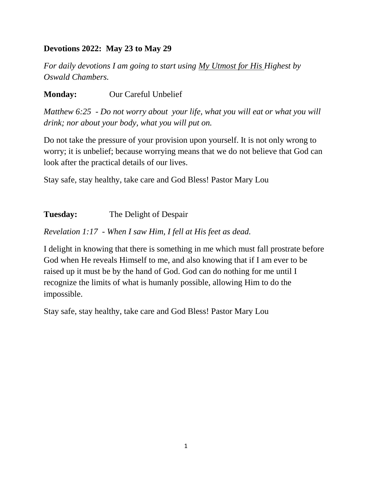# **Devotions 2022: May 23 to May 29**

*For daily devotions I am going to start using My Utmost for His Highest by Oswald Chambers.*

**Monday:** Our Careful Unbelief

*Matthew 6:25 - Do not worry about your life, what you will eat or what you will drink; nor about your body, what you will put on.*

Do not take the pressure of your provision upon yourself. It is not only wrong to worry; it is unbelief; because worrying means that we do not believe that God can look after the practical details of our lives.

Stay safe, stay healthy, take care and God Bless! Pastor Mary Lou

| <b>Tuesday:</b> | The Delight of Despair |
|-----------------|------------------------|
|                 |                        |

*Revelation 1:17 - When I saw Him, I fell at His feet as dead.*

I delight in knowing that there is something in me which must fall prostrate before God when He reveals Himself to me, and also knowing that if I am ever to be raised up it must be by the hand of God. God can do nothing for me until I recognize the limits of what is humanly possible, allowing Him to do the impossible.

Stay safe, stay healthy, take care and God Bless! Pastor Mary Lou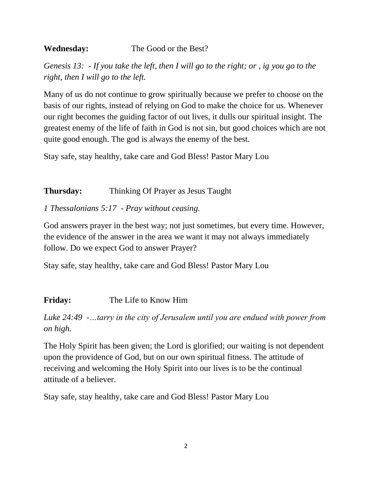# **Wednesday:** The Good or the Best?

*Genesis 13: - If you take the left, then I will go to the right; or , ig you go to the right, then I will go to the left.*

Many of us do not continue to grow spiritually because we prefer to choose on the basis of our rights, instead of relying on God to make the choice for us. Whenever our right becomes the guiding factor of out lives, it dulls our spiritual insight. The greatest enemy of the life of faith in God is not sin, but good choices which are not quite good enough. The god is always the enemy of the best.

Stay safe, stay healthy, take care and God Bless! Pastor Mary Lou

# **Thursday:** Thinking Of Prayer as Jesus Taught

# *1 Thessalonians 5:17 - Pray without ceasing.*

God answers prayer in the best way; not just sometimes, but every time. However, the evidence of the answer in the area we want it may not always immediately follow. Do we expect God to answer Prayer?

Stay safe, stay healthy, take care and God Bless! Pastor Mary Lou

# **Friday:** The Life to Know Him

*Luke 24:49 -…tarry in the city of Jerusalem until you are endued with power from on high.*

The Holy Spirit has been given; the Lord is glorified; our waiting is not dependent upon the providence of God, but on our own spiritual fitness. The attitude of receiving and welcoming the Holy Spirit into our lives is to be the continual attitude of a believer.

Stay safe, stay healthy, take care and God Bless! Pastor Mary Lou